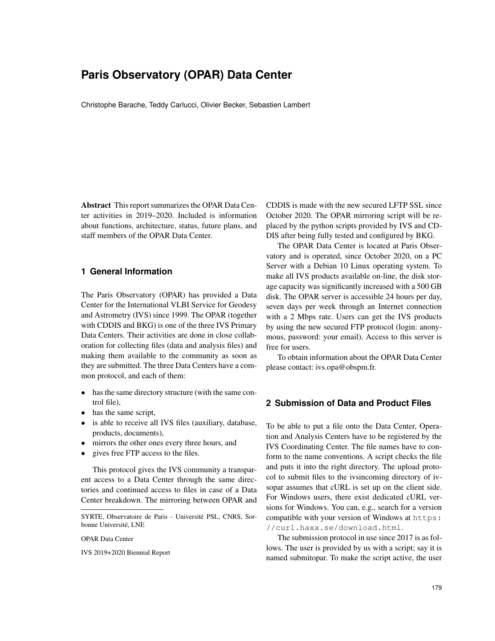## **Paris Observatory (OPAR) Data Center**

Christophe Barache, Teddy Carlucci, Olivier Becker, Sebastien Lambert

Abstract This report summarizes the OPAR Data Center activities in 2019–2020. Included is information about functions, architecture, status, future plans, and staff members of the OPAR Data Center.

## **1 General Information**

The Paris Observatory (OPAR) has provided a Data Center for the International VLBI Service for Geodesy and Astrometry (IVS) since 1999. The OPAR (together with CDDIS and BKG) is one of the three IVS Primary Data Centers. Their activities are done in close collaboration for collecting files (data and analysis files) and making them available to the community as soon as they are submitted. The three Data Centers have a common protocol, and each of them:

- has the same directory structure (with the same control file),
- has the same script,
- is able to receive all IVS files (auxiliary, database, products, documents),
- mirrors the other ones every three hours, and
- gives free FTP access to the files.

This protocol gives the IVS community a transparent access to a Data Center through the same directories and continued access to files in case of a Data Center breakdown. The mirroring between OPAR and

OPAR Data Center

IVS 2019+2020 Biennial Report

CDDIS is made with the new secured LFTP SSL since October 2020. The OPAR mirroring script will be replaced by the python scripts provided by IVS and CD-DIS after being fully tested and configured by BKG.

The OPAR Data Center is located at Paris Observatory and is operated, since October 2020, on a PC Server with a Debian 10 Linux operating system. To make all IVS products available on-line, the disk storage capacity was significantly increased with a 500 GB disk. The OPAR server is accessible 24 hours per day, seven days per week through an Internet connection with a 2 Mbps rate. Users can get the IVS products by using the new secured FTP protocol (login: anonymous, password: your email). Access to this server is free for users.

To obtain information about the OPAR Data Center please contact: ivs.opa@obspm.fr.

## **2 Submission of Data and Product Files**

To be able to put a file onto the Data Center, Operation and Analysis Centers have to be registered by the IVS Coordinating Center. The file names have to conform to the name conventions. A script checks the file and puts it into the right directory. The upload protocol to submit files to the ivsincoming directory of ivsopar assumes that cURL is set up on the client side. For Windows users, there exist dedicated cURL versions for Windows. You can, e.g., search for a version compatible with your version of Windows at https: //curl.haxx.se/download.html.

The submission protocol in use since 2017 is as follows. The user is provided by us with a script; say it is named submitopar. To make the script active, the user

SYRTE, Observatoire de Paris - Université PSL, CNRS, Sorbonne Université, LNE